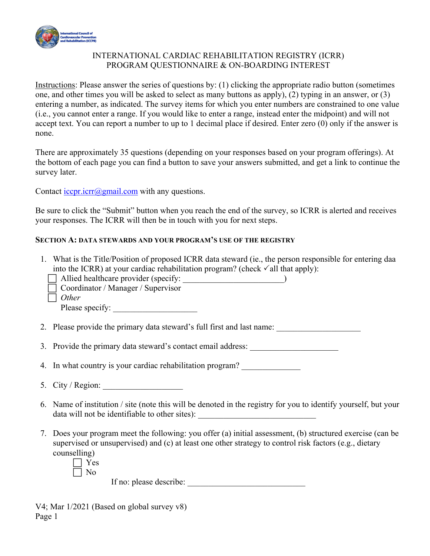

## INTERNATIONAL CARDIAC REHABILITATION REGISTRY (ICRR) PROGRAM QUESTIONNAIRE & ON-BOARDING INTEREST

Instructions: Please answer the series of questions by: (1) clicking the appropriate radio button (sometimes one, and other times you will be asked to select as many buttons as apply), (2) typing in an answer, or (3) entering a number, as indicated. The survey items for which you enter numbers are constrained to one value (i.e., you cannot enter a range. If you would like to enter a range, instead enter the midpoint) and will not accept text. You can report a number to up to 1 decimal place if desired. Enter zero (0) only if the answer is none.

There are approximately 35 questions (depending on your responses based on your program offerings). At the bottom of each page you can find a button to save your answers submitted, and get a link to continue the survey later.

Contact  $icopr.icrr@gmail.com$  with any questions.

Be sure to click the "Submit" button when you reach the end of the survey, so ICRR is alerted and receives your responses. The ICRR will then be in touch with you for next steps.

### **SECTION A: DATA STEWARDS AND YOUR PROGRAM'S USE OF THE REGISTRY**

- 1. What is the Title/Position of proposed ICRR data steward (ie., the person responsible for entering daa into the ICRR) at your cardiac rehabilitation program? (check  $\checkmark$  all that apply):
	- $\Box$  Allied healthcare provider (specify:
	- Coordinator / Manager / Supervisor
	- *Other*

Please specify:

- 2. Please provide the primary data steward's full first and last name:
- 3. Provide the primary data steward's contact email address:

4. In what country is your cardiac rehabilitation program?

- 5. City / Region:
- 6. Name of institution / site (note this will be denoted in the registry for you to identify yourself, but your data will not be identifiable to other sites):
- 7. Does your program meet the following: you offer (a) initial assessment, (b) structured exercise (can be supervised or unsupervised) and (c) at least one other strategy to control risk factors (e.g., dietary counselling)

 Yes  $\Box$  No

If no: please describe: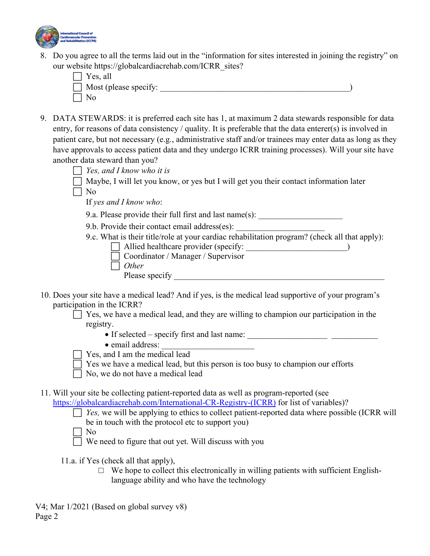

8. Do you agree to all the terms laid out in the "information for sites interested in joining the registry" on our website https://globalcardiacrehab.com/ICRR\_sites?

| $\Box$ Yes, all              |  |
|------------------------------|--|
| $\Box$ Most (please specify: |  |
| N <sub>0</sub>               |  |

- 9. DATA STEWARDS: it is preferred each site has 1, at maximum 2 data stewards responsible for data entry, for reasons of data consistency / quality. It is preferable that the data enterer(s) is involved in patient care, but not necessary (e.g., administrative staff and/or trainees may enter data as long as they have approvals to access patient data and they undergo ICRR training processes). Will your site have another data steward than you?
	- *Yes, and I know who it is*
	- $\Box$  Maybe, I will let you know, or yes but I will get you their contact information later
	- $\Box$  No

If *yes and I know who*:

9.a. Please provide their full first and last name(s):

9.b. Provide their contact email address(es):

9.c. What is their title/role at your cardiac rehabilitation program? (check all that apply):

- $\Box$  Allied healthcare provider (specify:  $\Box$ Coordinator / Manager / Supervisor
- *Other* 
	- Please specify \_\_\_\_\_\_\_\_\_\_\_\_\_\_\_\_\_\_\_\_\_\_\_\_\_\_\_\_\_\_\_\_\_\_\_\_\_\_\_\_\_\_\_\_\_\_\_\_\_\_
- 10. Does your site have a medical lead? And if yes, is the medical lead supportive of your program's participation in the ICRR?

 $\Box$  Yes, we have a medical lead, and they are willing to champion our participation in the registry.

- If selected specify first and last name:
- email address:
- Yes, and I am the medical lead
- $\Box$  Yes we have a medical lead, but this person is too busy to champion our efforts
- No, we do not have a medical lead
- 11. Will your site be collecting patient-reported data as well as program-reported (see
	- https://globalcardiacrehab.com/International-CR-Registry-(ICRR) for list of variables)?
		- $\Box$  *Yes*, we will be applying to ethics to collect patient-reported data where possible (ICRR will be in touch with the protocol etc to support you)
		- No

We need to figure that out yet. Will discuss with you

11.a. if Yes (check all that apply),

 $\Box$  We hope to collect this electronically in willing patients with sufficient Englishlanguage ability and who have the technology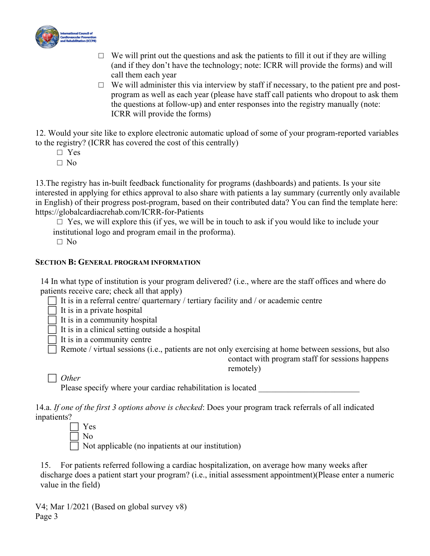

- $\Box$  We will print out the questions and ask the patients to fill it out if they are willing (and if they don't have the technology; note: ICRR will provide the forms) and will call them each year
- $\Box$  We will administer this via interview by staff if necessary, to the patient pre and postprogram as well as each year (please have staff call patients who dropout to ask them the questions at follow-up) and enter responses into the registry manually (note: ICRR will provide the forms)

12. Would your site like to explore electronic automatic upload of some of your program-reported variables to the registry? (ICRR has covered the cost of this centrally)

- □ Yes
- □ No

13.The registry has in-built feedback functionality for programs (dashboards) and patients. Is your site interested in applying for ethics approval to also share with patients a lay summary (currently only available in English) of their progress post-program, based on their contributed data? You can find the template here: https://globalcardiacrehab.com/ICRR-for-Patients

 $\Box$  Yes, we will explore this (if yes, we will be in touch to ask if you would like to include your institutional logo and program email in the proforma).

□ No

## **SECTION B: GENERAL PROGRAM INFORMATION**

14 In what type of institution is your program delivered? (i.e., where are the staff offices and where do patients receive care; check all that apply)

 $\Box$  It is in a referral centre/ quarternary / tertiary facility and / or academic centre

 $\Box$  It is in a private hospital

It is in a community hospital

It is in a clinical setting outside a hospital

 $\exists$  It is in a community centre

Remote / virtual sessions (i.e., patients are not only exercising at home between sessions, but also

contact with program staff for sessions happens remotely)

*Other* 

Please specify where your cardiac rehabilitation is located

14.a. *If one of the first 3 options above is checked*: Does your program track referrals of all indicated inpatients?

 Yes  $\Box$  No

Not applicable (no inpatients at our institution)

15. For patients referred following a cardiac hospitalization, on average how many weeks after discharge does a patient start your program? (i.e., initial assessment appointment)(Please enter a numeric value in the field)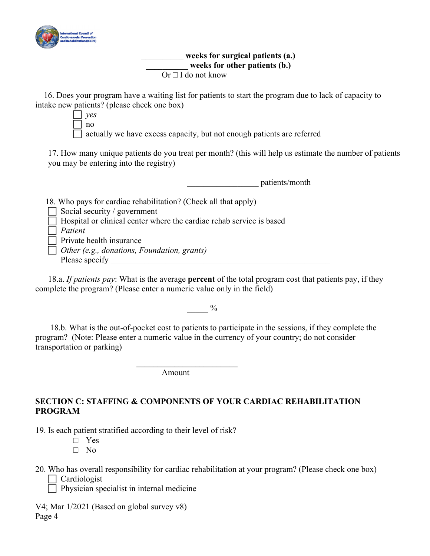

#### \_\_\_\_\_\_\_\_\_\_ **weeks for surgical patients (a.)**  weeks for other patients (b.) Or  $\Box$  I do not know

 16. Does your program have a waiting list for patients to start the program due to lack of capacity to intake new patients? (please check one box)

 *yes*  no actually we have excess capacity, but not enough patients are referred

17. How many unique patients do you treat per month? (this will help us estimate the number of patients you may be entering into the registry)

\_\_\_\_\_\_\_\_\_\_\_\_\_\_\_\_\_ patients/month 18. Who pays for cardiac rehabilitation? (Check all that apply) Social security / government  $\Box$  Hospital or clinical center where the cardiac rehab service is based *Patient* Private health insurance *Other (e.g., donations, Foundation, grants)*  Please specify

18.a. *If patients pay*: What is the average **percent** of the total program cost that patients pay, if they complete the program? (Please enter a numeric value only in the field)

 $_{\%}$ 

 18.b. What is the out-of-pocket cost to patients to participate in the sessions, if they complete the program? (Note: Please enter a numeric value in the currency of your country; do not consider transportation or parking)

Amount

**\_\_\_\_\_\_\_\_\_\_\_\_\_\_\_\_\_\_\_\_\_\_\_\_** 

# **SECTION C: STAFFING & COMPONENTS OF YOUR CARDIAC REHABILITATION PROGRAM**

19. Is each patient stratified according to their level of risk?

- □ Yes
- □ No
- 20. Who has overall responsibility for cardiac rehabilitation at your program? (Please check one box) Cardiologist

 $\Box$  Physician specialist in internal medicine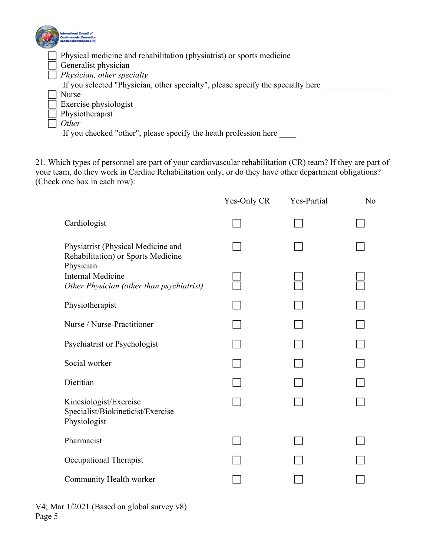| <b>International Council o</b><br>ardiovascular Preventio<br>nd Rehabilitation (ICCPR |
|---------------------------------------------------------------------------------------|
| Physical medicine and rehabilitation (physiatrist) or sports medicine                 |
| Generalist physician                                                                  |
| Physician, other specialty                                                            |
| If you selected "Physician, other specialty", please specify the specialty here       |
| Nurse                                                                                 |
| Exercise physiologist                                                                 |
| Physiotherapist                                                                       |
| Other                                                                                 |
| If you checked "other", please specify the heath profession here                      |

21. Which types of personnel are part of your cardiovascular rehabilitation (CR) team? If they are part of your team, do they work in Cardiac Rehabilitation only, or do they have other department obligations? (Check one box in each row):

| Yes-Only CR | Yes-Partial | N <sub>o</sub> |
|-------------|-------------|----------------|
|             |             |                |
|             |             |                |
|             |             |                |
|             |             |                |
|             |             |                |
|             |             |                |
|             |             |                |
|             |             |                |
|             |             |                |
|             |             |                |
|             |             |                |
|             |             |                |
|             |             |                |

|        | V4; Mar 1/2021 (Based on global survey v8) |  |  |
|--------|--------------------------------------------|--|--|
| Page 5 |                                            |  |  |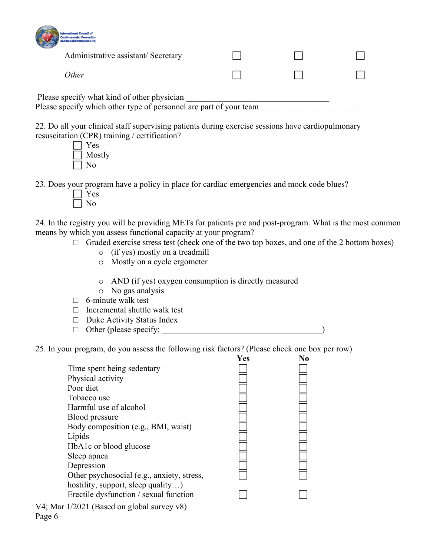| <b>International Council of</b><br><b>Cardiovascular Prevention</b><br>and Rehabilitation (ICCPR)                 |  |  |
|-------------------------------------------------------------------------------------------------------------------|--|--|
| Administrative assistant/ Secretary                                                                               |  |  |
| <i>Other</i>                                                                                                      |  |  |
| Please specify what kind of other physician<br>Please specify which other type of personnel are part of your team |  |  |

22. Do all your clinical staff supervising patients during exercise sessions have cardiopulmonary resuscitation (CPR) training / certification?

| Y es   |
|--------|
| Mostly |
| N٥     |

23. Does your program have a policy in place for cardiac emergencies and mock code blues?

24. In the registry you will be providing METs for patients pre and post-program. What is the most common means by which you assess functional capacity at your program?

- $\Box$  Graded exercise stress test (check one of the two top boxes, and one of the 2 bottom boxes)
	- o (if yes) mostly on a treadmill
	- o Mostly on a cycle ergometer
	- o AND (if yes) oxygen consumption is directly measured
	- o No gas analysis
- $\Box$  6-minute walk test
- $\Box$  Incremental shuttle walk test
- □ Duke Activity Status Index
- □ Other (please specify: \_\_\_\_\_\_\_\_\_\_\_\_\_\_\_\_\_\_\_\_\_\_\_\_\_\_\_\_\_\_\_\_\_\_\_\_\_\_)

25. In your program, do you assess the following risk factors? (Please check one box per row)

|                                                 | Yes | No |
|-------------------------------------------------|-----|----|
| Time spent being sedentary                      |     |    |
| Physical activity                               |     |    |
| Poor diet                                       |     |    |
| Tobacco use                                     |     |    |
| Harmful use of alcohol                          |     |    |
| Blood pressure                                  |     |    |
| Body composition (e.g., BMI, waist)             |     |    |
| Lipids                                          |     |    |
| HbA1c or blood glucose                          |     |    |
| Sleep apnea                                     |     |    |
| Depression                                      |     |    |
| Other psychosocial (e.g., anxiety, stress,      |     |    |
| hostility, support, sleep quality)              |     |    |
| Erectile dysfunction / sexual function          |     |    |
| V4; Mar $1/2021$ (Based on global survey $v8$ ) |     |    |

Page 6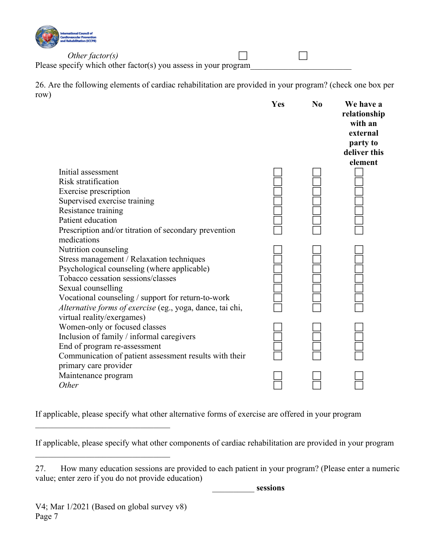

*Other factor(s)* □ Please specify which other factor(s) you assess in your program

26. Are the following elements of cardiac rehabilitation are provided in your program? (check one box per row)

|                                                           | Yes | N <sub>0</sub> | We have a<br>relationship<br>with an<br>external<br>party to<br>deliver this<br>element |
|-----------------------------------------------------------|-----|----------------|-----------------------------------------------------------------------------------------|
| Initial assessment                                        |     |                |                                                                                         |
| Risk stratification                                       |     |                |                                                                                         |
| Exercise prescription                                     |     |                |                                                                                         |
| Supervised exercise training                              |     |                |                                                                                         |
| Resistance training                                       |     |                |                                                                                         |
| Patient education                                         |     |                |                                                                                         |
| Prescription and/or titration of secondary prevention     |     |                |                                                                                         |
| medications                                               |     |                |                                                                                         |
| Nutrition counseling                                      |     |                |                                                                                         |
| Stress management / Relaxation techniques                 |     |                |                                                                                         |
| Psychological counseling (where applicable)               |     |                |                                                                                         |
| Tobacco cessation sessions/classes                        |     |                |                                                                                         |
| Sexual counselling                                        |     |                |                                                                                         |
| Vocational counseling / support for return-to-work        |     |                |                                                                                         |
| Alternative forms of exercise (eg., yoga, dance, tai chi, |     |                |                                                                                         |
| virtual reality/exergames)                                |     |                |                                                                                         |
| Women-only or focused classes                             |     |                |                                                                                         |
| Inclusion of family / informal caregivers                 |     |                |                                                                                         |
| End of program re-assessment                              |     |                |                                                                                         |
| Communication of patient assessment results with their    |     |                |                                                                                         |
| primary care provider                                     |     |                |                                                                                         |
| Maintenance program<br>Other                              |     |                |                                                                                         |
|                                                           |     |                |                                                                                         |

If applicable, please specify what other alternative forms of exercise are offered in your program

If applicable, please specify what other components of cardiac rehabilitation are provided in your program

| 27. |                                                    |  |  |  | How many education sessions are provided to each patient in your program? (Please enter a numeric |
|-----|----------------------------------------------------|--|--|--|---------------------------------------------------------------------------------------------------|
|     | value; enter zero if you do not provide education) |  |  |  |                                                                                                   |

\_\_\_\_\_\_\_\_\_\_ **sessions**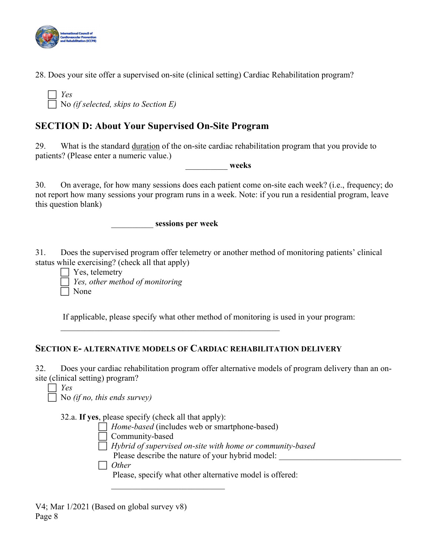

28. Does your site offer a supervised on-site (clinical setting) Cardiac Rehabilitation program?

 *Yes*  No *(if selected, skips to Section E)*

# **SECTION D: About Your Supervised On-Site Program**

29. What is the standard duration of the on-site cardiac rehabilitation program that you provide to patients? (Please enter a numeric value.)

\_\_\_\_\_\_\_\_\_\_ **weeks**

30. On average, for how many sessions does each patient come on-site each week? (i.e., frequency; do not report how many sessions your program runs in a week. Note: if you run a residential program, leave this question blank)

\_\_\_\_\_\_\_\_\_\_ **sessions per week** 

31. Does the supervised program offer telemetry or another method of monitoring patients' clinical status while exercising? (check all that apply)

 $\Box$  Yes, telemetry *Yes, other method of monitoring* None

If applicable, please specify what other method of monitoring is used in your program:

# **SECTION E- ALTERNATIVE MODELS OF CARDIAC REHABILITATION DELIVERY**

32. Does your cardiac rehabilitation program offer alternative models of program delivery than an onsite (clinical setting) program?

*Yes* 

No *(if no, this ends survey)*

32.a. **If yes**, please specify (check all that apply):

*Home-based* (includes web or smartphone-based)

- Community-based
- *Hybrid of supervised on-site with home or community-based*
	- Please describe the nature of your hybrid model:

*Other* 

Please, specify what other alternative model is offered: